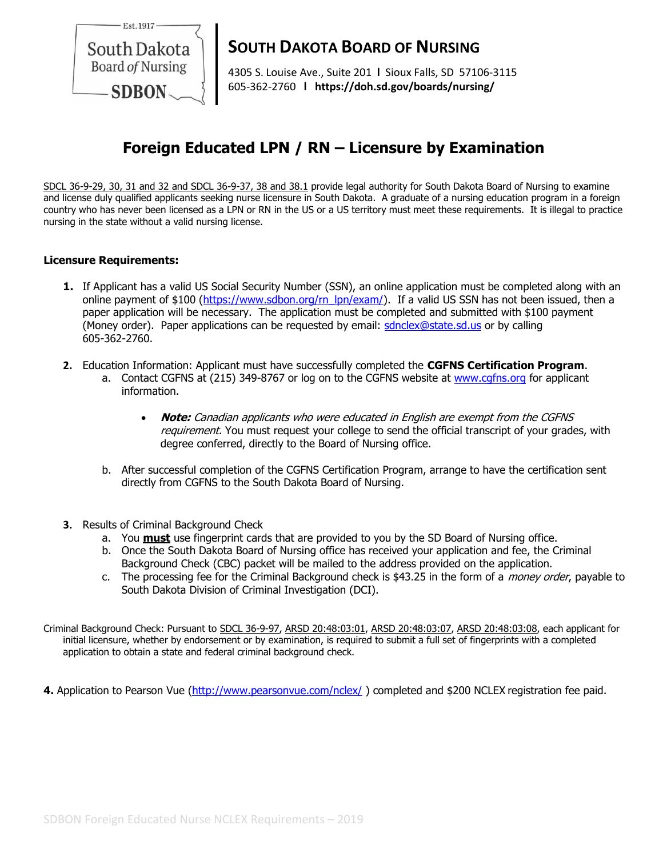

# **SOUTH DAKOTA BOARD OF NURSING**

4305 S. Louise Ave., Suite 201 **l** Sioux Falls, SD 57106-3115 605-362-2760 **l https://doh.sd.gov/boards/nursing/**

## **Foreign Educated LPN / RN – Licensure by Examination**

SDCL 36-9-29, 30, 31 and 32 and SDCL 36-9-37, 38 and 38.1 provide legal authority for South Dakota Board of Nursing to examine and license duly qualified applicants seeking nurse licensure in South Dakota. A graduate of a nursing education program in a foreign country who has never been licensed as a LPN or RN in the US or a US territory must meet these requirements. It is illegal to practice nursing in the state without a valid nursing license.

### **Licensure Requirements:**

- **1.** If Applicant has a valid US Social Security Number (SSN), an online application must be completed along with an online payment of \$100 [\(https://www.sdbon.org/rn\\_lpn/exam/\)](https://www.sdbon.org/rn_lpn/exam/). If a valid US SSN has not been issued, then a paper application will be necessary. The application must be completed and submitted with \$100 payment (Money order). Paper applications can be requested by email: [sdnclex@state.sd.us](mailto:sdnclex@state.sd.us) or by calling 605-362-2760.
- **2.** Education Information: Applicant must have successfully completed the **CGFNS Certification Program**.
	- a. Contact CGFNS at (215) 349-8767 or log on to the CGFNS website at [www.cgfns.org](http://www.cgfns.org/) for applicant information.
		- **Note:** Canadian applicants who were educated in English are exempt from the CGFNS requirement. You must request your college to send the official transcript of your grades, with degree conferred, directly to the Board of Nursing office.
	- b. After successful completion of the CGFNS Certification Program, arrange to have the certification sent directly from CGFNS to the South Dakota Board of Nursing.
- **3.** Results of Criminal Background Check
	- a. You **must** use fingerprint cards that are provided to you by the SD Board of Nursing office.
	- b. Once the South Dakota Board of Nursing office has received your application and fee, the Criminal Background Check (CBC) packet will be mailed to the address provided on the application.
	- c. The processing fee for the Criminal Background check is \$43.25 in the form of a *money order*, payable to South Dakota Division of Criminal Investigation (DCI).

Criminal Background Check: Pursuant to SDCL 36-9-97, ARSD 20:48:03:01, ARSD 20:48:03:07, ARSD 20:48:03:08, each applicant for initial licensure, whether by endorsement or by examination, is required to submit a full set of fingerprints with a completed application to obtain a state and federal criminal background check.

**4.** Application to [Pearson](http://www.vue.com/nclex) Vue [\(http://www.pearsonvue.com/nclex/](http://www.pearsonvue.com/nclex/) ) completed and \$200 NCLEX registration fee paid.